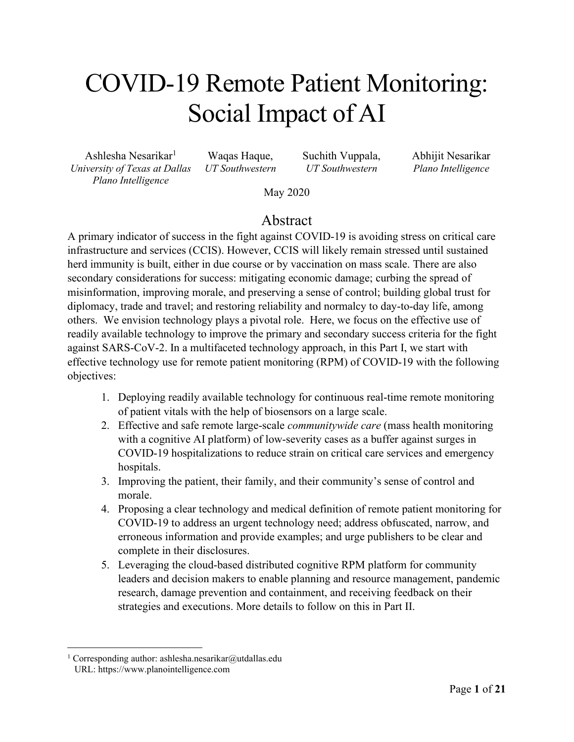# COVID-19 Remote Patient Monitoring: Social Impact of AI

Ashlesha Nesarikar<sup>1</sup> *University of Texas at Dallas Plano Intelligence*

Waqas Haque, *UT Southwestern* Suchith Vuppala, *UT Southwestern* 

Abhijit Nesarikar *Plano Intelligence*

May 2020

#### Abstract

A primary indicator of success in the fight against COVID-19 is avoiding stress on critical care infrastructure and services (CCIS). However, CCIS will likely remain stressed until sustained herd immunity is built, either in due course or by vaccination on mass scale. There are also secondary considerations for success: mitigating economic damage; curbing the spread of misinformation, improving morale, and preserving a sense of control; building global trust for diplomacy, trade and travel; and restoring reliability and normalcy to day-to-day life, among others. We envision technology plays a pivotal role. Here, we focus on the effective use of readily available technology to improve the primary and secondary success criteria for the fight against SARS-CoV-2. In a multifaceted technology approach, in this Part I, we start with effective technology use for remote patient monitoring (RPM) of COVID-19 with the following objectives:

- 1. Deploying readily available technology for continuous real-time remote monitoring of patient vitals with the help of biosensors on a large scale.
- 2. Effective and safe remote large-scale *communitywide care* (mass health monitoring with a cognitive AI platform) of low-severity cases as a buffer against surges in COVID-19 hospitalizations to reduce strain on critical care services and emergency hospitals.
- 3. Improving the patient, their family, and their community's sense of control and morale.
- 4. Proposing a clear technology and medical definition of remote patient monitoring for COVID-19 to address an urgent technology need; address obfuscated, narrow, and erroneous information and provide examples; and urge publishers to be clear and complete in their disclosures.
- 5. Leveraging the cloud-based distributed cognitive RPM platform for community leaders and decision makers to enable planning and resource management, pandemic research, damage prevention and containment, and receiving feedback on their strategies and executions. More details to follow on this in Part II.

<sup>&</sup>lt;sup>1</sup> Corresponding author: ashlesha.nesarikar@utdallas.edu URL: https://www.planointelligence.com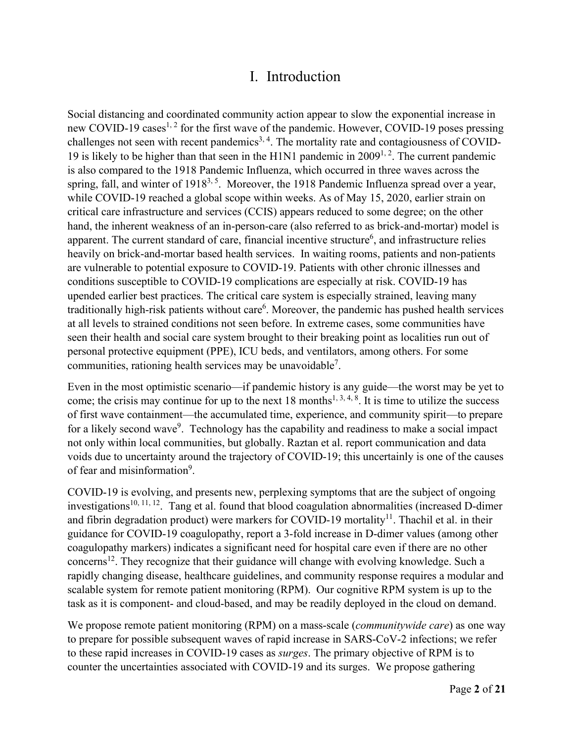#### I. Introduction

Social distancing and coordinated community action appear to slow the exponential increase in new COVID-19 cases<sup>1, 2</sup> for the first wave of the pandemic. However, COVID-19 poses pressing challenges not seen with recent pandemics<sup>3, 4</sup>. The mortality rate and contagiousness of COVID-19 is likely to be higher than that seen in the H1N1 pandemic in  $2009^{1,2}$ . The current pandemic is also compared to the 1918 Pandemic Influenza, which occurred in three waves across the spring, fall, and winter of 1918<sup>3, 5</sup>. Moreover, the 1918 Pandemic Influenza spread over a year, while COVID-19 reached a global scope within weeks. As of May 15, 2020, earlier strain on critical care infrastructure and services (CCIS) appears reduced to some degree; on the other hand, the inherent weakness of an in-person-care (also referred to as brick-and-mortar) model is apparent. The current standard of care, financial incentive structure<sup>6</sup>, and infrastructure relies heavily on brick-and-mortar based health services. In waiting rooms, patients and non-patients are vulnerable to potential exposure to COVID-19. Patients with other chronic illnesses and conditions susceptible to COVID-19 complications are especially at risk. COVID-19 has upended earlier best practices. The critical care system is especially strained, leaving many traditionally high-risk patients without care<sup>6</sup>. Moreover, the pandemic has pushed health services at all levels to strained conditions not seen before. In extreme cases, some communities have seen their health and social care system brought to their breaking point as localities run out of personal protective equipment (PPE), ICU beds, and ventilators, among others. For some communities, rationing health services may be unavoidable<sup>7</sup>.

Even in the most optimistic scenario—if pandemic history is any guide—the worst may be yet to come; the crisis may continue for up to the next 18 months<sup>1, 3, 4, 8</sup>. It is time to utilize the success of first wave containment—the accumulated time, experience, and community spirit—to prepare for a likely second wave<sup>9</sup>. Technology has the capability and readiness to make a social impact not only within local communities, but globally. Raztan et al. report communication and data voids due to uncertainty around the trajectory of COVID-19; this uncertainly is one of the causes of fear and misinformation<sup>9</sup>.

COVID-19 is evolving, and presents new, perplexing symptoms that are the subject of ongoing investigations<sup>10, 11, 12</sup>. Tang et al. found that blood coagulation abnormalities (increased D-dimer and fibrin degradation product) were markers for COVID-19 mortality<sup>11</sup>. Thachil et al. in their guidance for COVID-19 coagulopathy, report a 3-fold increase in D-dimer values (among other coagulopathy markers) indicates a significant need for hospital care even if there are no other concerns12. They recognize that their guidance will change with evolving knowledge. Such a rapidly changing disease, healthcare guidelines, and community response requires a modular and scalable system for remote patient monitoring (RPM). Our cognitive RPM system is up to the task as it is component- and cloud-based, and may be readily deployed in the cloud on demand.

We propose remote patient monitoring (RPM) on a mass-scale (*communitywide care*) as one way to prepare for possible subsequent waves of rapid increase in SARS-CoV-2 infections; we refer to these rapid increases in COVID-19 cases as *surges*. The primary objective of RPM is to counter the uncertainties associated with COVID-19 and its surges. We propose gathering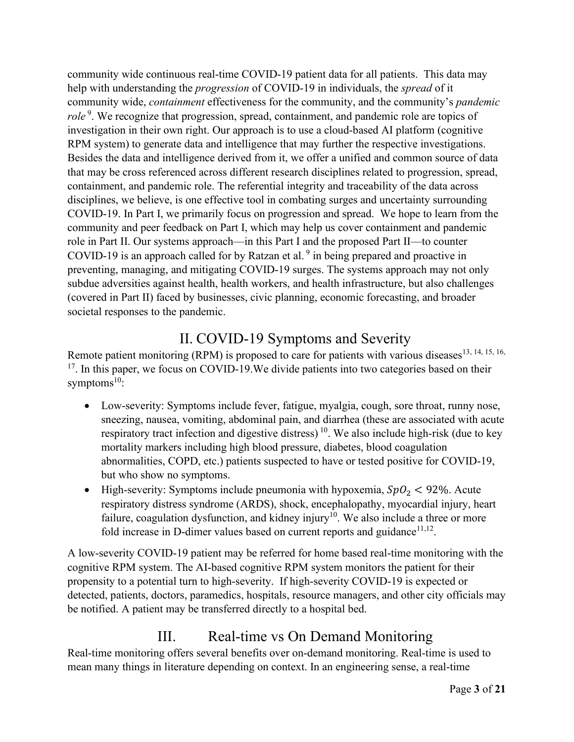community wide continuous real-time COVID-19 patient data for all patients. This data may help with understanding the *progression* of COVID-19 in individuals, the *spread* of it community wide, *containment* effectiveness for the community, and the community's *pandemic*  role<sup>9</sup>. We recognize that progression, spread, containment, and pandemic role are topics of investigation in their own right. Our approach is to use a cloud-based AI platform (cognitive RPM system) to generate data and intelligence that may further the respective investigations. Besides the data and intelligence derived from it, we offer a unified and common source of data that may be cross referenced across different research disciplines related to progression, spread, containment, and pandemic role. The referential integrity and traceability of the data across disciplines, we believe, is one effective tool in combating surges and uncertainty surrounding COVID-19. In Part I, we primarily focus on progression and spread. We hope to learn from the community and peer feedback on Part I, which may help us cover containment and pandemic role in Part II. Our systems approach—in this Part I and the proposed Part II—to counter COVID-19 is an approach called for by Ratzan et al.<sup>9</sup> in being prepared and proactive in preventing, managing, and mitigating COVID-19 surges. The systems approach may not only subdue adversities against health, health workers, and health infrastructure, but also challenges (covered in Part II) faced by businesses, civic planning, economic forecasting, and broader societal responses to the pandemic.

# II. COVID-19 Symptoms and Severity

Remote patient monitoring (RPM) is proposed to care for patients with various diseases<sup>13, 14, 15, 16,</sup>  $17$ . In this paper, we focus on COVID-19. We divide patients into two categories based on their symptoms $^{10}$ :

- Low-severity: Symptoms include fever, fatigue, myalgia, cough, sore throat, runny nose, sneezing, nausea, vomiting, abdominal pain, and diarrhea (these are associated with acute respiratory tract infection and digestive distress)  $10$ . We also include high-risk (due to key mortality markers including high blood pressure, diabetes, blood coagulation abnormalities, COPD, etc.) patients suspected to have or tested positive for COVID-19, but who show no symptoms.
- High-severity: Symptoms include pneumonia with hypoxemia,  $SpO<sub>2</sub> < 92$ %. Acute respiratory distress syndrome (ARDS), shock, encephalopathy, myocardial injury, heart failure, coagulation dysfunction, and kidney injury<sup>10</sup>. We also include a three or more fold increase in D-dimer values based on current reports and guidance $11,12$ .

A low-severity COVID-19 patient may be referred for home based real-time monitoring with the cognitive RPM system. The AI-based cognitive RPM system monitors the patient for their propensity to a potential turn to high-severity. If high-severity COVID-19 is expected or detected, patients, doctors, paramedics, hospitals, resource managers, and other city officials may be notified. A patient may be transferred directly to a hospital bed.

# III. Real-time vs On Demand Monitoring

Real-time monitoring offers several benefits over on-demand monitoring. Real-time is used to mean many things in literature depending on context. In an engineering sense, a real-time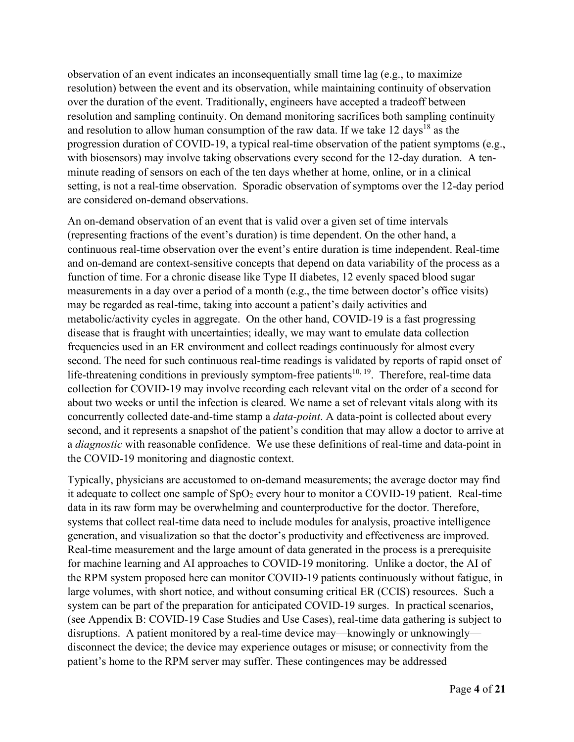observation of an event indicates an inconsequentially small time lag (e.g., to maximize resolution) between the event and its observation, while maintaining continuity of observation over the duration of the event. Traditionally, engineers have accepted a tradeoff between resolution and sampling continuity. On demand monitoring sacrifices both sampling continuity and resolution to allow human consumption of the raw data. If we take 12 days<sup>18</sup> as the progression duration of COVID-19, a typical real-time observation of the patient symptoms (e.g., with biosensors) may involve taking observations every second for the 12-day duration. A tenminute reading of sensors on each of the ten days whether at home, online, or in a clinical setting, is not a real-time observation. Sporadic observation of symptoms over the 12-day period are considered on-demand observations.

An on-demand observation of an event that is valid over a given set of time intervals (representing fractions of the event's duration) is time dependent. On the other hand, a continuous real-time observation over the event's entire duration is time independent. Real-time and on-demand are context-sensitive concepts that depend on data variability of the process as a function of time. For a chronic disease like Type II diabetes, 12 evenly spaced blood sugar measurements in a day over a period of a month (e.g., the time between doctor's office visits) may be regarded as real-time, taking into account a patient's daily activities and metabolic/activity cycles in aggregate. On the other hand, COVID-19 is a fast progressing disease that is fraught with uncertainties; ideally, we may want to emulate data collection frequencies used in an ER environment and collect readings continuously for almost every second. The need for such continuous real-time readings is validated by reports of rapid onset of life-threatening conditions in previously symptom-free patients<sup>10, 19</sup>. Therefore, real-time data collection for COVID-19 may involve recording each relevant vital on the order of a second for about two weeks or until the infection is cleared. We name a set of relevant vitals along with its concurrently collected date-and-time stamp a *data-point*. A data-point is collected about every second, and it represents a snapshot of the patient's condition that may allow a doctor to arrive at a *diagnostic* with reasonable confidence. We use these definitions of real-time and data-point in the COVID-19 monitoring and diagnostic context.

Typically, physicians are accustomed to on-demand measurements; the average doctor may find it adequate to collect one sample of  $SpO<sub>2</sub>$  every hour to monitor a COVID-19 patient. Real-time data in its raw form may be overwhelming and counterproductive for the doctor. Therefore, systems that collect real-time data need to include modules for analysis, proactive intelligence generation, and visualization so that the doctor's productivity and effectiveness are improved. Real-time measurement and the large amount of data generated in the process is a prerequisite for machine learning and AI approaches to COVID-19 monitoring. Unlike a doctor, the AI of the RPM system proposed here can monitor COVID-19 patients continuously without fatigue, in large volumes, with short notice, and without consuming critical ER (CCIS) resources. Such a system can be part of the preparation for anticipated COVID-19 surges. In practical scenarios, (see Appendix B: COVID-19 Case Studies and Use Cases), real-time data gathering is subject to disruptions. A patient monitored by a real-time device may—knowingly or unknowingly disconnect the device; the device may experience outages or misuse; or connectivity from the patient's home to the RPM server may suffer. These contingences may be addressed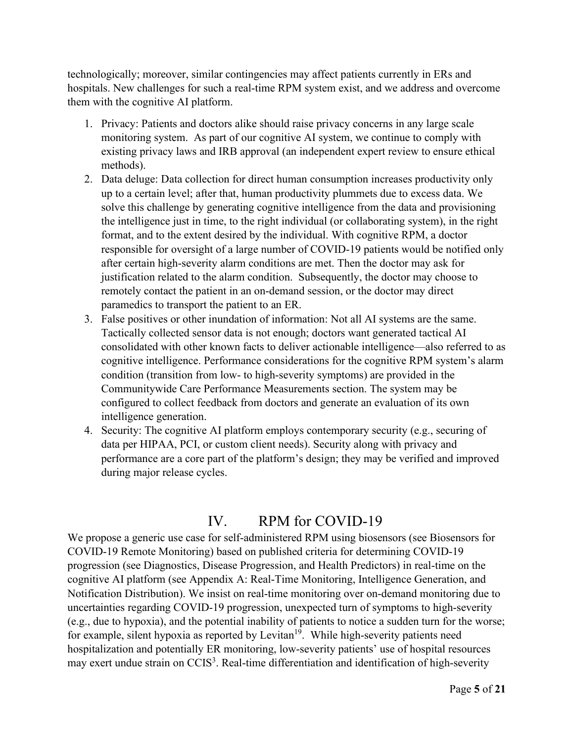technologically; moreover, similar contingencies may affect patients currently in ERs and hospitals. New challenges for such a real-time RPM system exist, and we address and overcome them with the cognitive AI platform.

- 1. Privacy: Patients and doctors alike should raise privacy concerns in any large scale monitoring system. As part of our cognitive AI system, we continue to comply with existing privacy laws and IRB approval (an independent expert review to ensure ethical methods).
- 2. Data deluge: Data collection for direct human consumption increases productivity only up to a certain level; after that, human productivity plummets due to excess data. We solve this challenge by generating cognitive intelligence from the data and provisioning the intelligence just in time, to the right individual (or collaborating system), in the right format, and to the extent desired by the individual. With cognitive RPM, a doctor responsible for oversight of a large number of COVID-19 patients would be notified only after certain high-severity alarm conditions are met. Then the doctor may ask for justification related to the alarm condition. Subsequently, the doctor may choose to remotely contact the patient in an on-demand session, or the doctor may direct paramedics to transport the patient to an ER.
- 3. False positives or other inundation of information: Not all AI systems are the same. Tactically collected sensor data is not enough; doctors want generated tactical AI consolidated with other known facts to deliver actionable intelligence—also referred to as cognitive intelligence. Performance considerations for the cognitive RPM system's alarm condition (transition from low- to high-severity symptoms) are provided in the Communitywide Care Performance Measurements section. The system may be configured to collect feedback from doctors and generate an evaluation of its own intelligence generation.
- 4. Security: The cognitive AI platform employs contemporary security (e.g., securing of data per HIPAA, PCI, or custom client needs). Security along with privacy and performance are a core part of the platform's design; they may be verified and improved during major release cycles.

## IV. RPM for COVID-19

We propose a generic use case for self-administered RPM using biosensors (see Biosensors for COVID-19 Remote Monitoring) based on published criteria for determining COVID-19 progression (see Diagnostics, Disease Progression, and Health Predictors) in real-time on the cognitive AI platform (see Appendix A: Real-Time Monitoring, Intelligence Generation, and Notification Distribution). We insist on real-time monitoring over on-demand monitoring due to uncertainties regarding COVID-19 progression, unexpected turn of symptoms to high-severity (e.g., due to hypoxia), and the potential inability of patients to notice a sudden turn for the worse; for example, silent hypoxia as reported by Levitan<sup>19</sup>. While high-severity patients need hospitalization and potentially ER monitoring, low-severity patients' use of hospital resources may exert undue strain on CCIS<sup>3</sup>. Real-time differentiation and identification of high-severity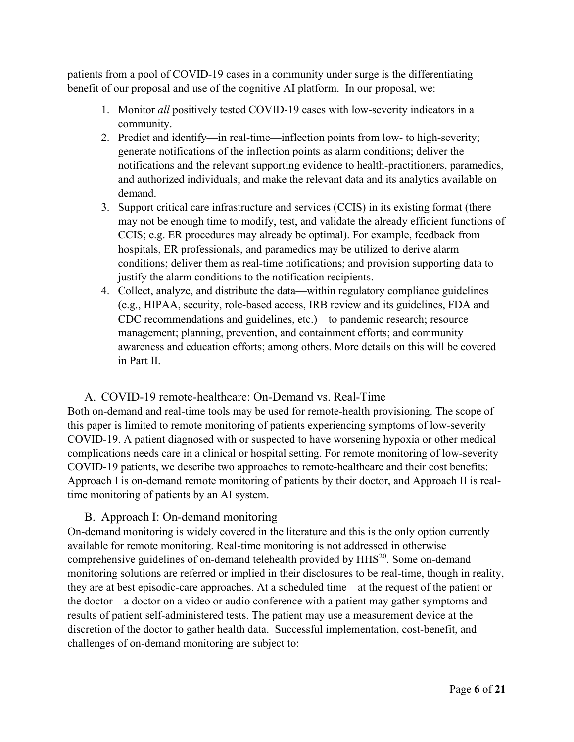patients from a pool of COVID-19 cases in a community under surge is the differentiating benefit of our proposal and use of the cognitive AI platform. In our proposal, we:

- 1. Monitor *all* positively tested COVID-19 cases with low-severity indicators in a community.
- 2. Predict and identify—in real-time—inflection points from low- to high-severity; generate notifications of the inflection points as alarm conditions; deliver the notifications and the relevant supporting evidence to health-practitioners, paramedics, and authorized individuals; and make the relevant data and its analytics available on demand.
- 3. Support critical care infrastructure and services (CCIS) in its existing format (there may not be enough time to modify, test, and validate the already efficient functions of CCIS; e.g. ER procedures may already be optimal). For example, feedback from hospitals, ER professionals, and paramedics may be utilized to derive alarm conditions; deliver them as real-time notifications; and provision supporting data to justify the alarm conditions to the notification recipients.
- 4. Collect, analyze, and distribute the data—within regulatory compliance guidelines (e.g., HIPAA, security, role-based access, IRB review and its guidelines, FDA and CDC recommendations and guidelines, etc.)—to pandemic research; resource management; planning, prevention, and containment efforts; and community awareness and education efforts; among others. More details on this will be covered in Part II.

#### A. COVID-19 remote-healthcare: On-Demand vs. Real-Time

Both on-demand and real-time tools may be used for remote-health provisioning. The scope of this paper is limited to remote monitoring of patients experiencing symptoms of low-severity COVID-19. A patient diagnosed with or suspected to have worsening hypoxia or other medical complications needs care in a clinical or hospital setting. For remote monitoring of low-severity COVID-19 patients, we describe two approaches to remote-healthcare and their cost benefits: Approach I is on-demand remote monitoring of patients by their doctor, and Approach II is realtime monitoring of patients by an AI system.

#### B. Approach I: On-demand monitoring

On-demand monitoring is widely covered in the literature and this is the only option currently available for remote monitoring. Real-time monitoring is not addressed in otherwise comprehensive guidelines of on-demand telehealth provided by HHS<sup>20</sup>. Some on-demand monitoring solutions are referred or implied in their disclosures to be real-time, though in reality, they are at best episodic-care approaches. At a scheduled time—at the request of the patient or the doctor—a doctor on a video or audio conference with a patient may gather symptoms and results of patient self-administered tests. The patient may use a measurement device at the discretion of the doctor to gather health data. Successful implementation, cost-benefit, and challenges of on-demand monitoring are subject to: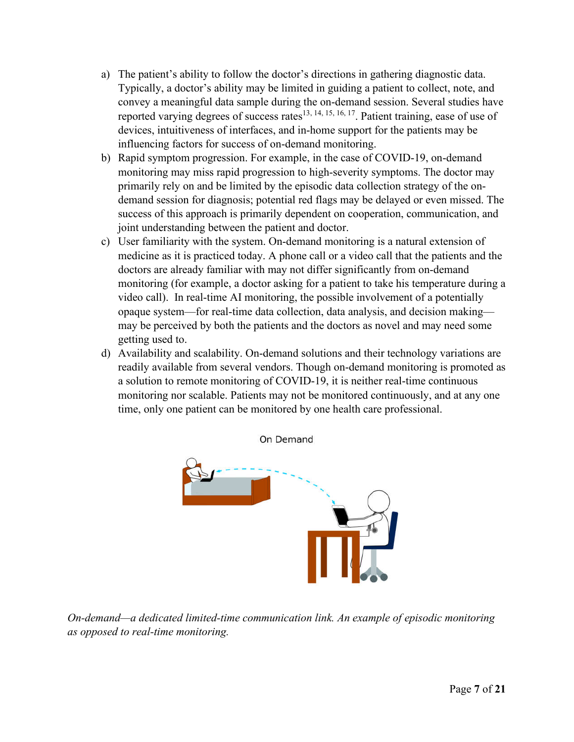- a) The patient's ability to follow the doctor's directions in gathering diagnostic data. Typically, a doctor's ability may be limited in guiding a patient to collect, note, and convey a meaningful data sample during the on-demand session. Several studies have reported varying degrees of success rates<sup>13, 14, 15, 16, 17</sup>. Patient training, ease of use of devices, intuitiveness of interfaces, and in-home support for the patients may be influencing factors for success of on-demand monitoring.
- b) Rapid symptom progression. For example, in the case of COVID-19, on-demand monitoring may miss rapid progression to high-severity symptoms. The doctor may primarily rely on and be limited by the episodic data collection strategy of the ondemand session for diagnosis; potential red flags may be delayed or even missed. The success of this approach is primarily dependent on cooperation, communication, and joint understanding between the patient and doctor.
- c) User familiarity with the system. On-demand monitoring is a natural extension of medicine as it is practiced today. A phone call or a video call that the patients and the doctors are already familiar with may not differ significantly from on-demand monitoring (for example, a doctor asking for a patient to take his temperature during a video call). In real-time AI monitoring, the possible involvement of a potentially opaque system—for real-time data collection, data analysis, and decision making may be perceived by both the patients and the doctors as novel and may need some getting used to.
- d) Availability and scalability. On-demand solutions and their technology variations are readily available from several vendors. Though on-demand monitoring is promoted as a solution to remote monitoring of COVID-19, it is neither real-time continuous monitoring nor scalable. Patients may not be monitored continuously, and at any one time, only one patient can be monitored by one health care professional.



*On-demand—a dedicated limited-time communication link. An example of episodic monitoring as opposed to real-time monitoring.*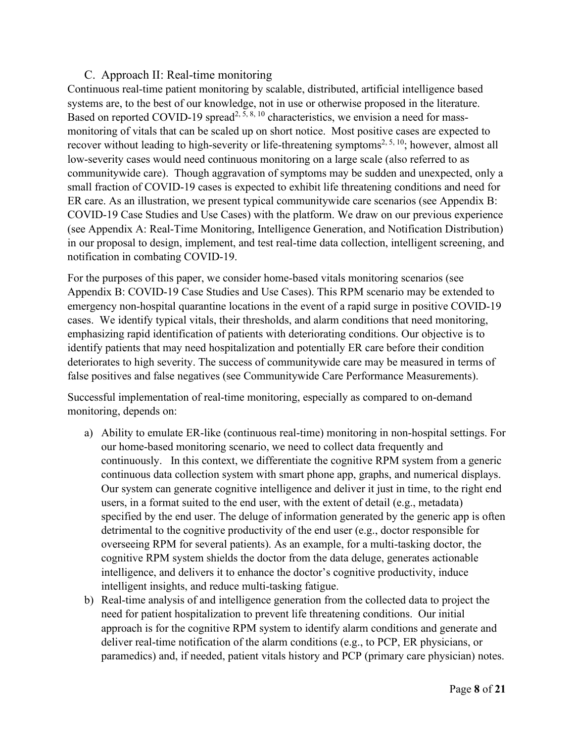#### C. Approach II: Real-time monitoring

Continuous real-time patient monitoring by scalable, distributed, artificial intelligence based systems are, to the best of our knowledge, not in use or otherwise proposed in the literature. Based on reported COVID-19 spread<sup>2, 5, 8, 10</sup> characteristics, we envision a need for massmonitoring of vitals that can be scaled up on short notice. Most positive cases are expected to recover without leading to high-severity or life-threatening symptoms<sup>2, 5, 10</sup>; however, almost all low-severity cases would need continuous monitoring on a large scale (also referred to as communitywide care). Though aggravation of symptoms may be sudden and unexpected, only a small fraction of COVID-19 cases is expected to exhibit life threatening conditions and need for ER care. As an illustration, we present typical communitywide care scenarios (see Appendix B: COVID-19 Case Studies and Use Cases) with the platform. We draw on our previous experience (see Appendix A: Real-Time Monitoring, Intelligence Generation, and Notification Distribution) in our proposal to design, implement, and test real-time data collection, intelligent screening, and notification in combating COVID-19.

For the purposes of this paper, we consider home-based vitals monitoring scenarios (see Appendix B: COVID-19 Case Studies and Use Cases). This RPM scenario may be extended to emergency non-hospital quarantine locations in the event of a rapid surge in positive COVID-19 cases. We identify typical vitals, their thresholds, and alarm conditions that need monitoring, emphasizing rapid identification of patients with deteriorating conditions. Our objective is to identify patients that may need hospitalization and potentially ER care before their condition deteriorates to high severity. The success of communitywide care may be measured in terms of false positives and false negatives (see Communitywide Care Performance Measurements).

Successful implementation of real-time monitoring, especially as compared to on-demand monitoring, depends on:

- a) Ability to emulate ER-like (continuous real-time) monitoring in non-hospital settings. For our home-based monitoring scenario, we need to collect data frequently and continuously. In this context, we differentiate the cognitive RPM system from a generic continuous data collection system with smart phone app, graphs, and numerical displays. Our system can generate cognitive intelligence and deliver it just in time, to the right end users, in a format suited to the end user, with the extent of detail (e.g., metadata) specified by the end user. The deluge of information generated by the generic app is often detrimental to the cognitive productivity of the end user (e.g., doctor responsible for overseeing RPM for several patients). As an example, for a multi-tasking doctor, the cognitive RPM system shields the doctor from the data deluge, generates actionable intelligence, and delivers it to enhance the doctor's cognitive productivity, induce intelligent insights, and reduce multi-tasking fatigue.
- b) Real-time analysis of and intelligence generation from the collected data to project the need for patient hospitalization to prevent life threatening conditions. Our initial approach is for the cognitive RPM system to identify alarm conditions and generate and deliver real-time notification of the alarm conditions (e.g., to PCP, ER physicians, or paramedics) and, if needed, patient vitals history and PCP (primary care physician) notes.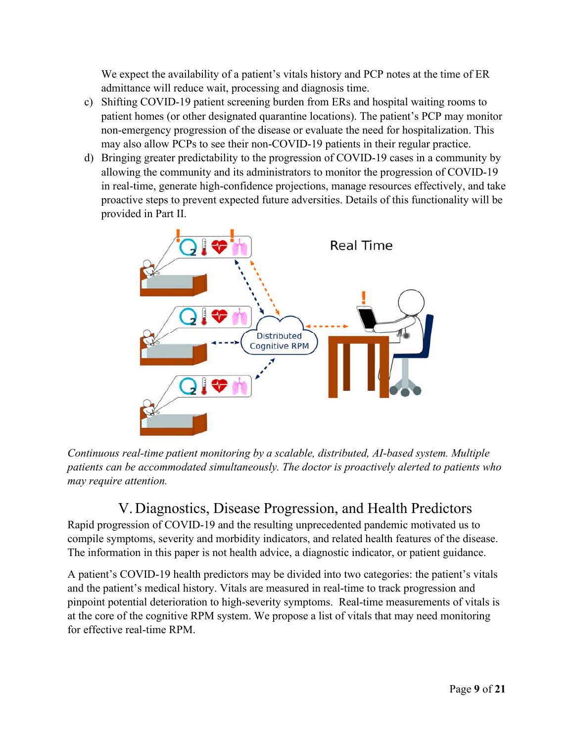We expect the availability of a patient's vitals history and PCP notes at the time of ER admittance will reduce wait, processing and diagnosis time.

- c) Shifting COVID-19 patient screening burden from ERs and hospital waiting rooms to patient homes (or other designated quarantine locations). The patient's PCP may monitor non-emergency progression of the disease or evaluate the need for hospitalization. This may also allow PCPs to see their non-COVID-19 patients in their regular practice.
- d) Bringing greater predictability to the progression of COVID-19 cases in a community by allowing the community and its administrators to monitor the progression of COVID-19 in real-time, generate high-confidence projections, manage resources effectively, and take proactive steps to prevent expected future adversities. Details of this functionality will be provided in Part II.



*Continuous real-time patient monitoring by a scalable, distributed, AI-based system. Multiple patients can be accommodated simultaneously. The doctor is proactively alerted to patients who may require attention.*

## V. Diagnostics, Disease Progression, and Health Predictors

Rapid progression of COVID-19 and the resulting unprecedented pandemic motivated us to compile symptoms, severity and morbidity indicators, and related health features of the disease. The information in this paper is not health advice, a diagnostic indicator, or patient guidance.

A patient's COVID-19 health predictors may be divided into two categories: the patient's vitals and the patient's medical history. Vitals are measured in real-time to track progression and pinpoint potential deterioration to high-severity symptoms. Real-time measurements of vitals is at the core of the cognitive RPM system. We propose a list of vitals that may need monitoring for effective real-time RPM.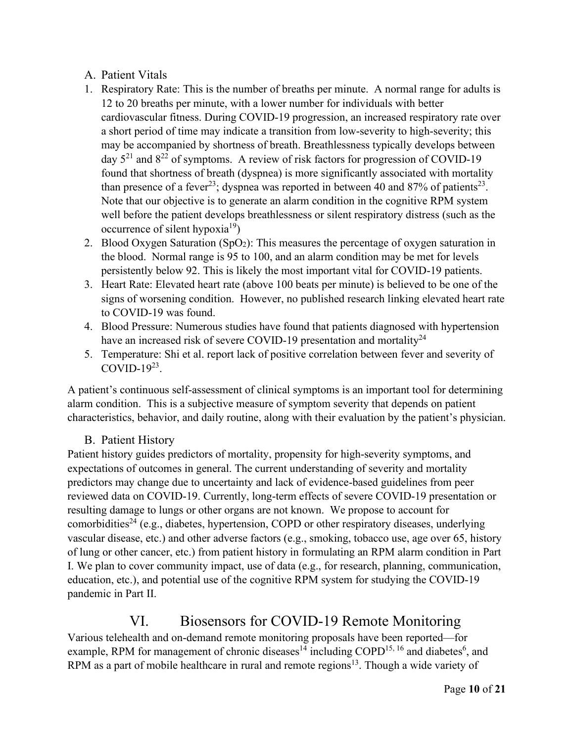#### A. Patient Vitals

- 1. Respiratory Rate: This is the number of breaths per minute. A normal range for adults is 12 to 20 breaths per minute, with a lower number for individuals with better cardiovascular fitness. During COVID-19 progression, an increased respiratory rate over a short period of time may indicate a transition from low-severity to high-severity; this may be accompanied by shortness of breath. Breathlessness typically develops between day  $5^{21}$  and  $8^{22}$  of symptoms. A review of risk factors for progression of COVID-19 found that shortness of breath (dyspnea) is more significantly associated with mortality than presence of a fever<sup>23</sup>; dyspnea was reported in between 40 and 87% of patients<sup>23</sup>. Note that our objective is to generate an alarm condition in the cognitive RPM system well before the patient develops breathlessness or silent respiratory distress (such as the occurrence of silent hypoxia<sup>19</sup>)
- 2. Blood Oxygen Saturation (SpO<sub>2</sub>): This measures the percentage of oxygen saturation in the blood. Normal range is 95 to 100, and an alarm condition may be met for levels persistently below 92. This is likely the most important vital for COVID-19 patients.
- 3. Heart Rate: Elevated heart rate (above 100 beats per minute) is believed to be one of the signs of worsening condition. However, no published research linking elevated heart rate to COVID-19 was found.
- 4. Blood Pressure: Numerous studies have found that patients diagnosed with hypertension have an increased risk of severe COVID-19 presentation and mortality<sup>24</sup>
- 5. Temperature: Shi et al. report lack of positive correlation between fever and severity of COVID- $19^{23}$ .

A patient's continuous self-assessment of clinical symptoms is an important tool for determining alarm condition. This is a subjective measure of symptom severity that depends on patient characteristics, behavior, and daily routine, along with their evaluation by the patient's physician.

#### B. Patient History

Patient history guides predictors of mortality, propensity for high-severity symptoms, and expectations of outcomes in general. The current understanding of severity and mortality predictors may change due to uncertainty and lack of evidence-based guidelines from peer reviewed data on COVID-19. Currently, long-term effects of severe COVID-19 presentation or resulting damage to lungs or other organs are not known. We propose to account for comorbidities<sup>24</sup> (e.g., diabetes, hypertension, COPD or other respiratory diseases, underlying vascular disease, etc.) and other adverse factors (e.g., smoking, tobacco use, age over 65, history of lung or other cancer, etc.) from patient history in formulating an RPM alarm condition in Part I. We plan to cover community impact, use of data (e.g., for research, planning, communication, education, etc.), and potential use of the cognitive RPM system for studying the COVID-19 pandemic in Part II.

## VI. Biosensors for COVID-19 Remote Monitoring

Various telehealth and on-demand remote monitoring proposals have been reported—for example, RPM for management of chronic diseases<sup>14</sup> including COPD<sup>15, 16</sup> and diabetes<sup>6</sup>, and RPM as a part of mobile healthcare in rural and remote regions<sup>13</sup>. Though a wide variety of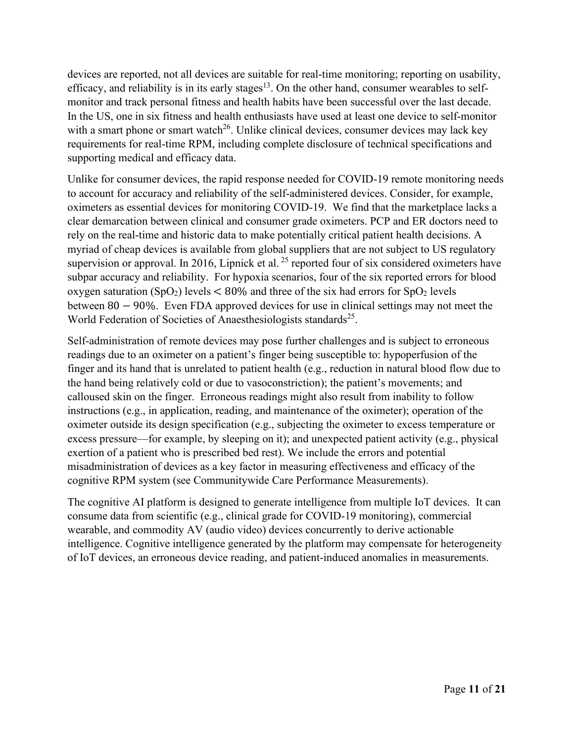devices are reported, not all devices are suitable for real-time monitoring; reporting on usability, efficacy, and reliability is in its early stages<sup>13</sup>. On the other hand, consumer wearables to selfmonitor and track personal fitness and health habits have been successful over the last decade. In the US, one in six fitness and health enthusiasts have used at least one device to self-monitor with a smart phone or smart watch<sup>26</sup>. Unlike clinical devices, consumer devices may lack key requirements for real-time RPM, including complete disclosure of technical specifications and supporting medical and efficacy data.

Unlike for consumer devices, the rapid response needed for COVID-19 remote monitoring needs to account for accuracy and reliability of the self-administered devices. Consider, for example, oximeters as essential devices for monitoring COVID-19. We find that the marketplace lacks a clear demarcation between clinical and consumer grade oximeters. PCP and ER doctors need to rely on the real-time and historic data to make potentially critical patient health decisions. A myriad of cheap devices is available from global suppliers that are not subject to US regulatory supervision or approval. In 2016, Lipnick et al.<sup>25</sup> reported four of six considered oximeters have subpar accuracy and reliability. For hypoxia scenarios, four of the six reported errors for blood oxygen saturation (SpO<sub>2</sub>) levels  $\lt 80\%$  and three of the six had errors for SpO<sub>2</sub> levels between 80 − 90%. Even FDA approved devices for use in clinical settings may not meet the World Federation of Societies of Anaesthesiologists standards<sup>25</sup>.

Self-administration of remote devices may pose further challenges and is subject to erroneous readings due to an oximeter on a patient's finger being susceptible to: hypoperfusion of the finger and its hand that is unrelated to patient health (e.g., reduction in natural blood flow due to the hand being relatively cold or due to vasoconstriction); the patient's movements; and calloused skin on the finger. Erroneous readings might also result from inability to follow instructions (e.g., in application, reading, and maintenance of the oximeter); operation of the oximeter outside its design specification (e.g., subjecting the oximeter to excess temperature or excess pressure—for example, by sleeping on it); and unexpected patient activity (e.g., physical exertion of a patient who is prescribed bed rest). We include the errors and potential misadministration of devices as a key factor in measuring effectiveness and efficacy of the cognitive RPM system (see Communitywide Care Performance Measurements).

The cognitive AI platform is designed to generate intelligence from multiple IoT devices. It can consume data from scientific (e.g., clinical grade for COVID-19 monitoring), commercial wearable, and commodity AV (audio video) devices concurrently to derive actionable intelligence. Cognitive intelligence generated by the platform may compensate for heterogeneity of IoT devices, an erroneous device reading, and patient-induced anomalies in measurements.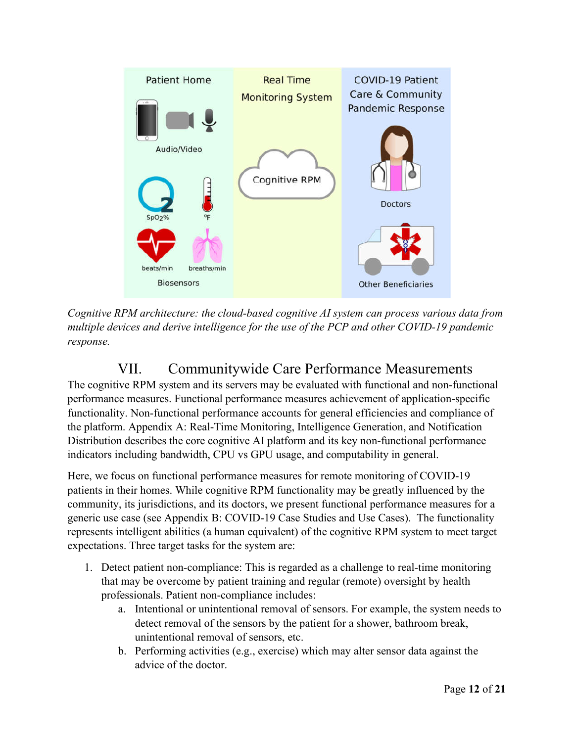

*Cognitive RPM architecture: the cloud-based cognitive AI system can process various data from multiple devices and derive intelligence for the use of the PCP and other COVID-19 pandemic response.*

# VII. Communitywide Care Performance Measurements

The cognitive RPM system and its servers may be evaluated with functional and non-functional performance measures. Functional performance measures achievement of application-specific functionality. Non-functional performance accounts for general efficiencies and compliance of the platform. Appendix A: Real-Time Monitoring, Intelligence Generation, and Notification Distribution describes the core cognitive AI platform and its key non-functional performance indicators including bandwidth, CPU vs GPU usage, and computability in general.

Here, we focus on functional performance measures for remote monitoring of COVID-19 patients in their homes. While cognitive RPM functionality may be greatly influenced by the community, its jurisdictions, and its doctors, we present functional performance measures for a generic use case (see Appendix B: COVID-19 Case Studies and Use Cases). The functionality represents intelligent abilities (a human equivalent) of the cognitive RPM system to meet target expectations. Three target tasks for the system are:

- 1. Detect patient non-compliance: This is regarded as a challenge to real-time monitoring that may be overcome by patient training and regular (remote) oversight by health professionals. Patient non-compliance includes:
	- a. Intentional or unintentional removal of sensors. For example, the system needs to detect removal of the sensors by the patient for a shower, bathroom break, unintentional removal of sensors, etc.
	- b. Performing activities (e.g., exercise) which may alter sensor data against the advice of the doctor.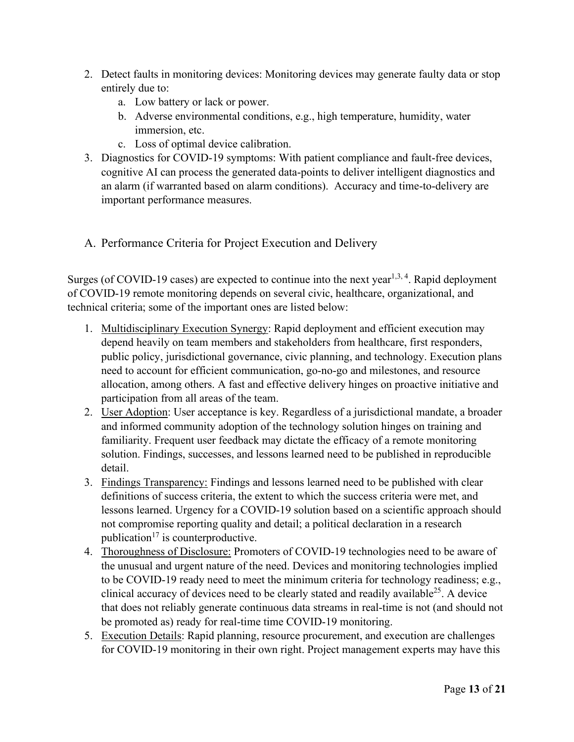- 2. Detect faults in monitoring devices: Monitoring devices may generate faulty data or stop entirely due to:
	- a. Low battery or lack or power.
	- b. Adverse environmental conditions, e.g., high temperature, humidity, water immersion, etc.
	- c. Loss of optimal device calibration.
- 3. Diagnostics for COVID-19 symptoms: With patient compliance and fault-free devices, cognitive AI can process the generated data-points to deliver intelligent diagnostics and an alarm (if warranted based on alarm conditions). Accuracy and time-to-delivery are important performance measures.
- A. Performance Criteria for Project Execution and Delivery

Surges (of COVID-19 cases) are expected to continue into the next year<sup>1,3,4</sup>. Rapid deployment of COVID-19 remote monitoring depends on several civic, healthcare, organizational, and technical criteria; some of the important ones are listed below:

- 1. Multidisciplinary Execution Synergy: Rapid deployment and efficient execution may depend heavily on team members and stakeholders from healthcare, first responders, public policy, jurisdictional governance, civic planning, and technology. Execution plans need to account for efficient communication, go-no-go and milestones, and resource allocation, among others. A fast and effective delivery hinges on proactive initiative and participation from all areas of the team.
- 2. User Adoption: User acceptance is key. Regardless of a jurisdictional mandate, a broader and informed community adoption of the technology solution hinges on training and familiarity. Frequent user feedback may dictate the efficacy of a remote monitoring solution. Findings, successes, and lessons learned need to be published in reproducible detail.
- 3. Findings Transparency: Findings and lessons learned need to be published with clear definitions of success criteria, the extent to which the success criteria were met, and lessons learned. Urgency for a COVID-19 solution based on a scientific approach should not compromise reporting quality and detail; a political declaration in a research publication<sup>17</sup> is counterproductive.
- 4. Thoroughness of Disclosure: Promoters of COVID-19 technologies need to be aware of the unusual and urgent nature of the need. Devices and monitoring technologies implied to be COVID-19 ready need to meet the minimum criteria for technology readiness; e.g., clinical accuracy of devices need to be clearly stated and readily available<sup>25</sup>. A device that does not reliably generate continuous data streams in real-time is not (and should not be promoted as) ready for real-time time COVID-19 monitoring.
- 5. Execution Details: Rapid planning, resource procurement, and execution are challenges for COVID-19 monitoring in their own right. Project management experts may have this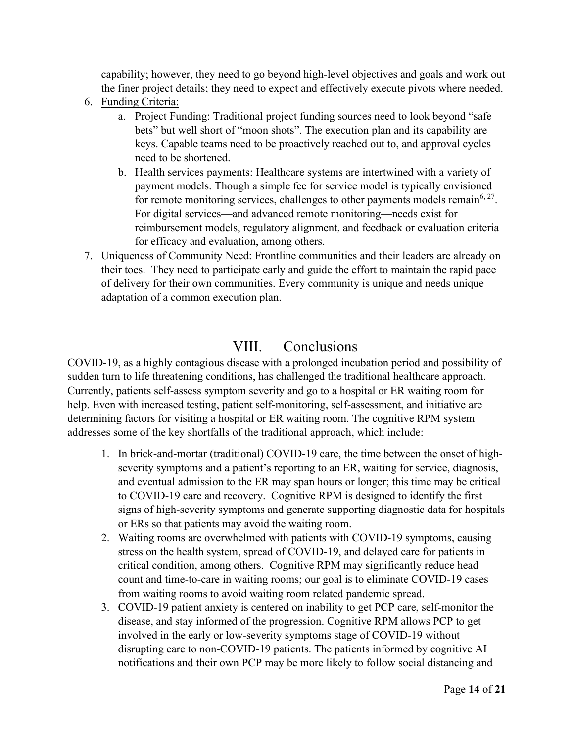capability; however, they need to go beyond high-level objectives and goals and work out the finer project details; they need to expect and effectively execute pivots where needed.

- 6. Funding Criteria:
	- a. Project Funding: Traditional project funding sources need to look beyond "safe bets" but well short of "moon shots". The execution plan and its capability are keys. Capable teams need to be proactively reached out to, and approval cycles need to be shortened.
	- b. Health services payments: Healthcare systems are intertwined with a variety of payment models. Though a simple fee for service model is typically envisioned for remote monitoring services, challenges to other payments models remain<sup>6, 27</sup>. For digital services—and advanced remote monitoring—needs exist for reimbursement models, regulatory alignment, and feedback or evaluation criteria for efficacy and evaluation, among others.
- 7. Uniqueness of Community Need: Frontline communities and their leaders are already on their toes. They need to participate early and guide the effort to maintain the rapid pace of delivery for their own communities. Every community is unique and needs unique adaptation of a common execution plan.

#### VIII. Conclusions

COVID-19, as a highly contagious disease with a prolonged incubation period and possibility of sudden turn to life threatening conditions, has challenged the traditional healthcare approach. Currently, patients self-assess symptom severity and go to a hospital or ER waiting room for help. Even with increased testing, patient self-monitoring, self-assessment, and initiative are determining factors for visiting a hospital or ER waiting room. The cognitive RPM system addresses some of the key shortfalls of the traditional approach, which include:

- 1. In brick-and-mortar (traditional) COVID-19 care, the time between the onset of highseverity symptoms and a patient's reporting to an ER, waiting for service, diagnosis, and eventual admission to the ER may span hours or longer; this time may be critical to COVID-19 care and recovery. Cognitive RPM is designed to identify the first signs of high-severity symptoms and generate supporting diagnostic data for hospitals or ERs so that patients may avoid the waiting room.
- 2. Waiting rooms are overwhelmed with patients with COVID-19 symptoms, causing stress on the health system, spread of COVID-19, and delayed care for patients in critical condition, among others. Cognitive RPM may significantly reduce head count and time-to-care in waiting rooms; our goal is to eliminate COVID-19 cases from waiting rooms to avoid waiting room related pandemic spread.
- 3. COVID-19 patient anxiety is centered on inability to get PCP care, self-monitor the disease, and stay informed of the progression. Cognitive RPM allows PCP to get involved in the early or low-severity symptoms stage of COVID-19 without disrupting care to non-COVID-19 patients. The patients informed by cognitive AI notifications and their own PCP may be more likely to follow social distancing and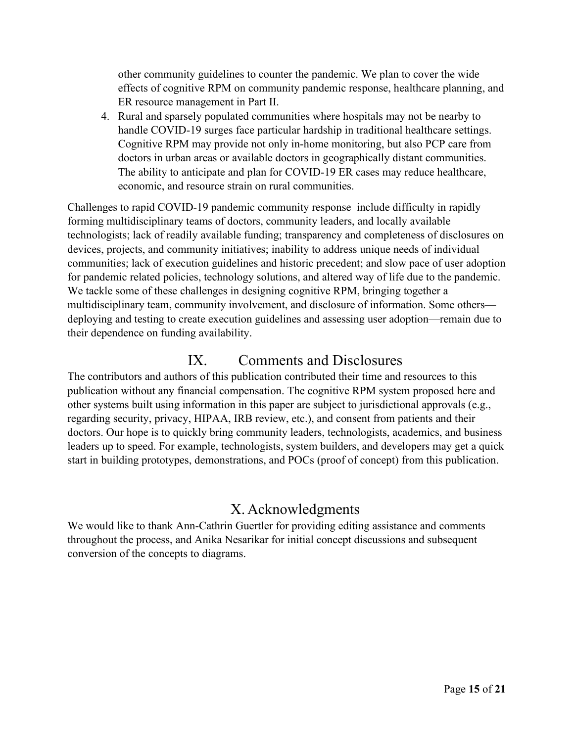other community guidelines to counter the pandemic. We plan to cover the wide effects of cognitive RPM on community pandemic response, healthcare planning, and ER resource management in Part II.

4. Rural and sparsely populated communities where hospitals may not be nearby to handle COVID-19 surges face particular hardship in traditional healthcare settings. Cognitive RPM may provide not only in-home monitoring, but also PCP care from doctors in urban areas or available doctors in geographically distant communities. The ability to anticipate and plan for COVID-19 ER cases may reduce healthcare, economic, and resource strain on rural communities.

Challenges to rapid COVID-19 pandemic community response include difficulty in rapidly forming multidisciplinary teams of doctors, community leaders, and locally available technologists; lack of readily available funding; transparency and completeness of disclosures on devices, projects, and community initiatives; inability to address unique needs of individual communities; lack of execution guidelines and historic precedent; and slow pace of user adoption for pandemic related policies, technology solutions, and altered way of life due to the pandemic. We tackle some of these challenges in designing cognitive RPM, bringing together a multidisciplinary team, community involvement, and disclosure of information. Some others deploying and testing to create execution guidelines and assessing user adoption—remain due to their dependence on funding availability.

#### IX. Comments and Disclosures

The contributors and authors of this publication contributed their time and resources to this publication without any financial compensation. The cognitive RPM system proposed here and other systems built using information in this paper are subject to jurisdictional approvals (e.g., regarding security, privacy, HIPAA, IRB review, etc.), and consent from patients and their doctors. Our hope is to quickly bring community leaders, technologists, academics, and business leaders up to speed. For example, technologists, system builders, and developers may get a quick start in building prototypes, demonstrations, and POCs (proof of concept) from this publication.

## X. Acknowledgments

We would like to thank Ann-Cathrin Guertler for providing editing assistance and comments throughout the process, and Anika Nesarikar for initial concept discussions and subsequent conversion of the concepts to diagrams.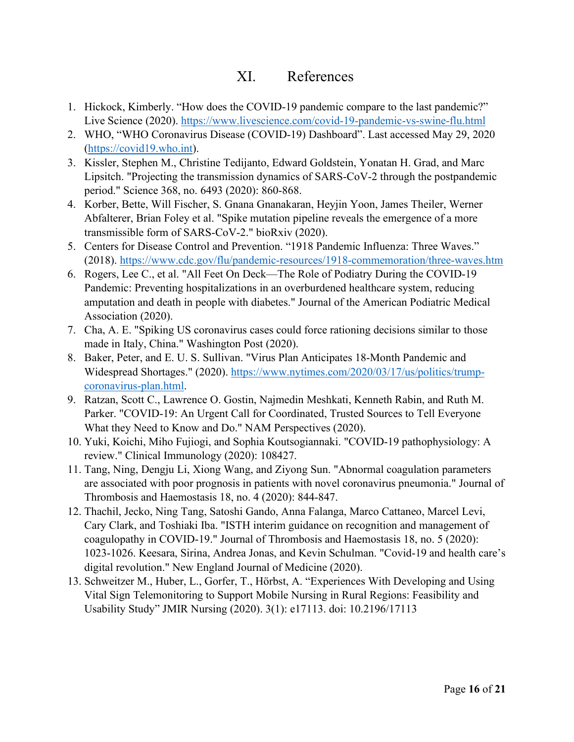#### XI. References

- 1. Hickock, Kimberly. "How does the COVID-19 pandemic compare to the last pandemic?" Live Science (2020). https://www.livescience.com/covid-19-pandemic-vs-swine-flu.html
- 2. WHO, "WHO Coronavirus Disease (COVID-19) Dashboard". Last accessed May 29, 2020 (https://covid19.who.int).
- 3. Kissler, Stephen M., Christine Tedijanto, Edward Goldstein, Yonatan H. Grad, and Marc Lipsitch. "Projecting the transmission dynamics of SARS-CoV-2 through the postpandemic period." Science 368, no. 6493 (2020): 860-868.
- 4. Korber, Bette, Will Fischer, S. Gnana Gnanakaran, Heyjin Yoon, James Theiler, Werner Abfalterer, Brian Foley et al. "Spike mutation pipeline reveals the emergence of a more transmissible form of SARS-CoV-2." bioRxiv (2020).
- 5. Centers for Disease Control and Prevention. "1918 Pandemic Influenza: Three Waves." (2018). https://www.cdc.gov/flu/pandemic-resources/1918-commemoration/three-waves.htm
- 6. Rogers, Lee C., et al. "All Feet On Deck—The Role of Podiatry During the COVID-19 Pandemic: Preventing hospitalizations in an overburdened healthcare system, reducing amputation and death in people with diabetes." Journal of the American Podiatric Medical Association (2020).
- 7. Cha, A. E. "Spiking US coronavirus cases could force rationing decisions similar to those made in Italy, China." Washington Post (2020).
- 8. Baker, Peter, and E. U. S. Sullivan. "Virus Plan Anticipates 18-Month Pandemic and Widespread Shortages." (2020). https://www.nytimes.com/2020/03/17/us/politics/trumpcoronavirus-plan.html.
- 9. Ratzan, Scott C., Lawrence O. Gostin, Najmedin Meshkati, Kenneth Rabin, and Ruth M. Parker. "COVID-19: An Urgent Call for Coordinated, Trusted Sources to Tell Everyone What they Need to Know and Do." NAM Perspectives (2020).
- 10. Yuki, Koichi, Miho Fujiogi, and Sophia Koutsogiannaki. "COVID-19 pathophysiology: A review." Clinical Immunology (2020): 108427.
- 11. Tang, Ning, Dengju Li, Xiong Wang, and Ziyong Sun. "Abnormal coagulation parameters are associated with poor prognosis in patients with novel coronavirus pneumonia." Journal of Thrombosis and Haemostasis 18, no. 4 (2020): 844-847.
- 12. Thachil, Jecko, Ning Tang, Satoshi Gando, Anna Falanga, Marco Cattaneo, Marcel Levi, Cary Clark, and Toshiaki Iba. "ISTH interim guidance on recognition and management of coagulopathy in COVID‐19." Journal of Thrombosis and Haemostasis 18, no. 5 (2020): 1023-1026. Keesara, Sirina, Andrea Jonas, and Kevin Schulman. "Covid-19 and health care's digital revolution." New England Journal of Medicine (2020).
- 13. Schweitzer M., Huber, L., Gorfer, T., Hörbst, A. "Experiences With Developing and Using Vital Sign Telemonitoring to Support Mobile Nursing in Rural Regions: Feasibility and Usability Study" JMIR Nursing (2020). 3(1): e17113. doi: 10.2196/17113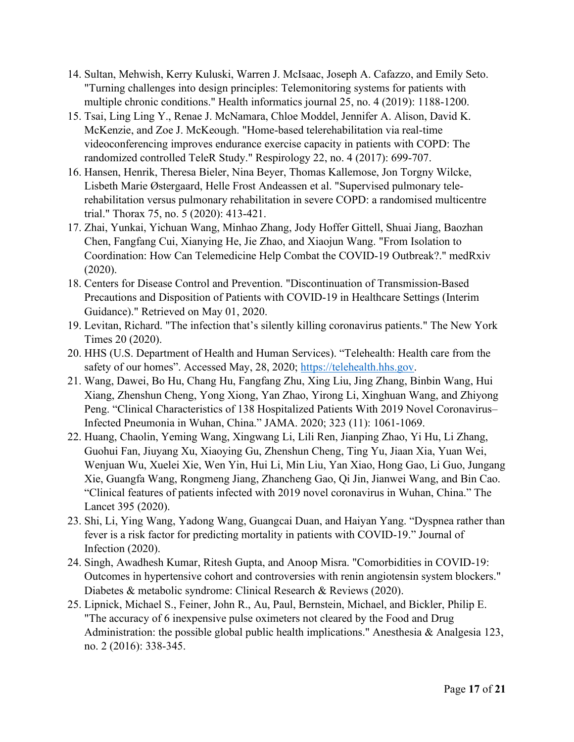- 14. Sultan, Mehwish, Kerry Kuluski, Warren J. McIsaac, Joseph A. Cafazzo, and Emily Seto. "Turning challenges into design principles: Telemonitoring systems for patients with multiple chronic conditions." Health informatics journal 25, no. 4 (2019): 1188-1200.
- 15. Tsai, Ling Ling Y., Renae J. McNamara, Chloe Moddel, Jennifer A. Alison, David K. McKenzie, and Zoe J. McKeough. "Home‐based telerehabilitation via real‐time videoconferencing improves endurance exercise capacity in patients with COPD: The randomized controlled TeleR Study." Respirology 22, no. 4 (2017): 699-707.
- 16. Hansen, Henrik, Theresa Bieler, Nina Beyer, Thomas Kallemose, Jon Torgny Wilcke, Lisbeth Marie Østergaard, Helle Frost Andeassen et al. "Supervised pulmonary telerehabilitation versus pulmonary rehabilitation in severe COPD: a randomised multicentre trial." Thorax 75, no. 5 (2020): 413-421.
- 17. Zhai, Yunkai, Yichuan Wang, Minhao Zhang, Jody Hoffer Gittell, Shuai Jiang, Baozhan Chen, Fangfang Cui, Xianying He, Jie Zhao, and Xiaojun Wang. "From Isolation to Coordination: How Can Telemedicine Help Combat the COVID-19 Outbreak?." medRxiv (2020).
- 18. Centers for Disease Control and Prevention. "Discontinuation of Transmission-Based Precautions and Disposition of Patients with COVID-19 in Healthcare Settings (Interim Guidance)." Retrieved on May 01, 2020.
- 19. Levitan, Richard. "The infection that's silently killing coronavirus patients." The New York Times 20 (2020).
- 20. HHS (U.S. Department of Health and Human Services). "Telehealth: Health care from the safety of our homes". Accessed May, 28, 2020; https://telehealth.hhs.gov.
- 21. Wang, Dawei, Bo Hu, Chang Hu, Fangfang Zhu, Xing Liu, Jing Zhang, Binbin Wang, Hui Xiang, Zhenshun Cheng, Yong Xiong, Yan Zhao, Yirong Li, Xinghuan Wang, and Zhiyong Peng. "Clinical Characteristics of 138 Hospitalized Patients With 2019 Novel Coronavirus– Infected Pneumonia in Wuhan, China." JAMA. 2020; 323 (11): 1061-1069.
- 22. Huang, Chaolin, Yeming Wang, Xingwang Li, Lili Ren, Jianping Zhao, Yi Hu, Li Zhang, Guohui Fan, Jiuyang Xu, Xiaoying Gu, Zhenshun Cheng, Ting Yu, Jiaan Xia, Yuan Wei, Wenjuan Wu, Xuelei Xie, Wen Yin, Hui Li, Min Liu, Yan Xiao, Hong Gao, Li Guo, Jungang Xie, Guangfa Wang, Rongmeng Jiang, Zhancheng Gao, Qi Jin, Jianwei Wang, and Bin Cao. "Clinical features of patients infected with 2019 novel coronavirus in Wuhan, China." The Lancet 395 (2020).
- 23. Shi, Li, Ying Wang, Yadong Wang, Guangcai Duan, and Haiyan Yang. "Dyspnea rather than fever is a risk factor for predicting mortality in patients with COVID-19." Journal of Infection (2020).
- 24. Singh, Awadhesh Kumar, Ritesh Gupta, and Anoop Misra. "Comorbidities in COVID-19: Outcomes in hypertensive cohort and controversies with renin angiotensin system blockers." Diabetes & metabolic syndrome: Clinical Research & Reviews (2020).
- 25. Lipnick, Michael S., Feiner, John R., Au, Paul, Bernstein, Michael, and Bickler, Philip E. "The accuracy of 6 inexpensive pulse oximeters not cleared by the Food and Drug Administration: the possible global public health implications." Anesthesia & Analgesia 123, no. 2 (2016): 338-345.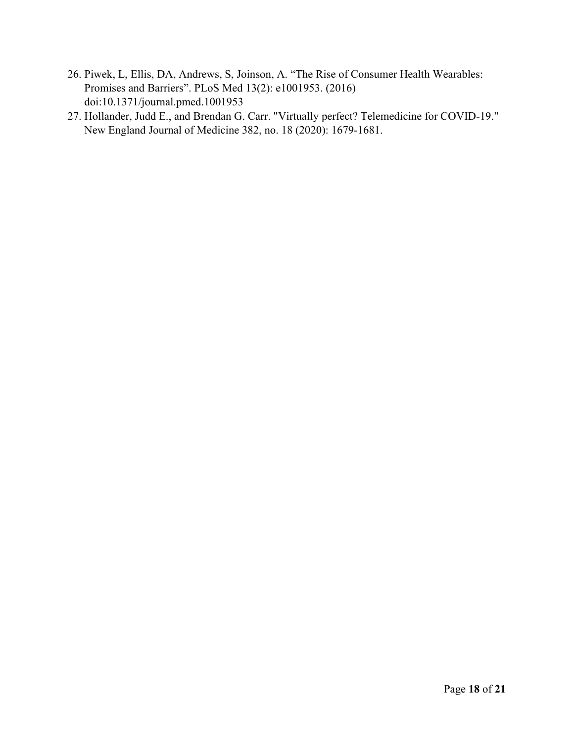- 26. Piwek, L, Ellis, DA, Andrews, S, Joinson, A. "The Rise of Consumer Health Wearables: Promises and Barriers". PLoS Med 13(2): e1001953. (2016) doi:10.1371/journal.pmed.1001953
- 27. Hollander, Judd E., and Brendan G. Carr. "Virtually perfect? Telemedicine for COVID-19." New England Journal of Medicine 382, no. 18 (2020): 1679-1681.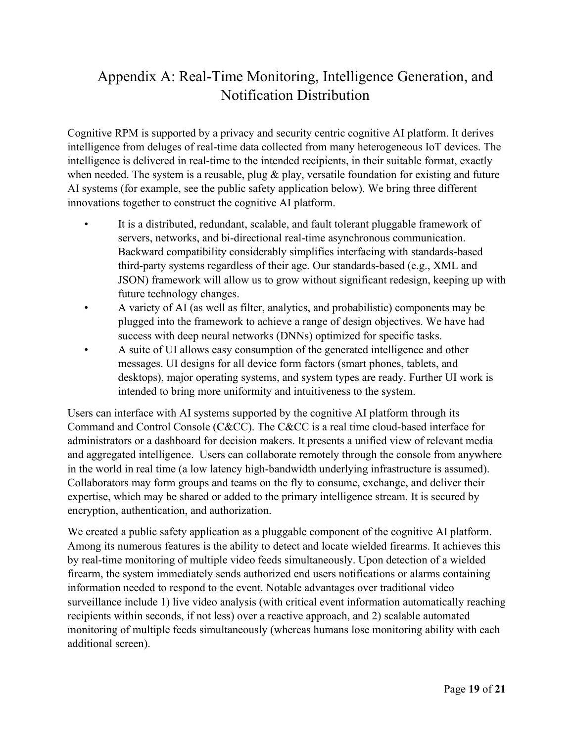# Appendix A: Real-Time Monitoring, Intelligence Generation, and Notification Distribution

Cognitive RPM is supported by a privacy and security centric cognitive AI platform. It derives intelligence from deluges of real-time data collected from many heterogeneous IoT devices. The intelligence is delivered in real-time to the intended recipients, in their suitable format, exactly when needed. The system is a reusable, plug & play, versatile foundation for existing and future AI systems (for example, see the public safety application below). We bring three different innovations together to construct the cognitive AI platform.

- It is a distributed, redundant, scalable, and fault tolerant pluggable framework of servers, networks, and bi-directional real-time asynchronous communication. Backward compatibility considerably simplifies interfacing with standards-based third-party systems regardless of their age. Our standards-based (e.g., XML and JSON) framework will allow us to grow without significant redesign, keeping up with future technology changes.
- A variety of AI (as well as filter, analytics, and probabilistic) components may be plugged into the framework to achieve a range of design objectives. We have had success with deep neural networks (DNNs) optimized for specific tasks.
- A suite of UI allows easy consumption of the generated intelligence and other messages. UI designs for all device form factors (smart phones, tablets, and desktops), major operating systems, and system types are ready. Further UI work is intended to bring more uniformity and intuitiveness to the system.

Users can interface with AI systems supported by the cognitive AI platform through its Command and Control Console (C&CC). The C&CC is a real time cloud-based interface for administrators or a dashboard for decision makers. It presents a unified view of relevant media and aggregated intelligence. Users can collaborate remotely through the console from anywhere in the world in real time (a low latency high-bandwidth underlying infrastructure is assumed). Collaborators may form groups and teams on the fly to consume, exchange, and deliver their expertise, which may be shared or added to the primary intelligence stream. It is secured by encryption, authentication, and authorization.

We created a public safety application as a pluggable component of the cognitive AI platform. Among its numerous features is the ability to detect and locate wielded firearms. It achieves this by real-time monitoring of multiple video feeds simultaneously. Upon detection of a wielded firearm, the system immediately sends authorized end users notifications or alarms containing information needed to respond to the event. Notable advantages over traditional video surveillance include 1) live video analysis (with critical event information automatically reaching recipients within seconds, if not less) over a reactive approach, and 2) scalable automated monitoring of multiple feeds simultaneously (whereas humans lose monitoring ability with each additional screen).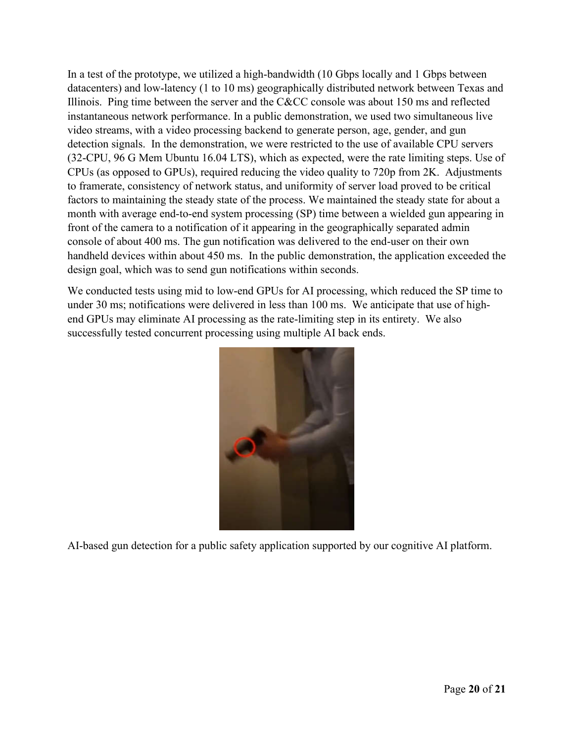In a test of the prototype, we utilized a high-bandwidth (10 Gbps locally and 1 Gbps between datacenters) and low-latency (1 to 10 ms) geographically distributed network between Texas and Illinois. Ping time between the server and the C&CC console was about 150 ms and reflected instantaneous network performance. In a public demonstration, we used two simultaneous live video streams, with a video processing backend to generate person, age, gender, and gun detection signals. In the demonstration, we were restricted to the use of available CPU servers (32-CPU, 96 G Mem Ubuntu 16.04 LTS), which as expected, were the rate limiting steps. Use of CPUs (as opposed to GPUs), required reducing the video quality to 720p from 2K. Adjustments to framerate, consistency of network status, and uniformity of server load proved to be critical factors to maintaining the steady state of the process. We maintained the steady state for about a month with average end-to-end system processing (SP) time between a wielded gun appearing in front of the camera to a notification of it appearing in the geographically separated admin console of about 400 ms. The gun notification was delivered to the end-user on their own handheld devices within about 450 ms. In the public demonstration, the application exceeded the design goal, which was to send gun notifications within seconds.

We conducted tests using mid to low-end GPUs for AI processing, which reduced the SP time to under 30 ms; notifications were delivered in less than 100 ms. We anticipate that use of highend GPUs may eliminate AI processing as the rate-limiting step in its entirety. We also successfully tested concurrent processing using multiple AI back ends.



AI-based gun detection for a public safety application supported by our cognitive AI platform.